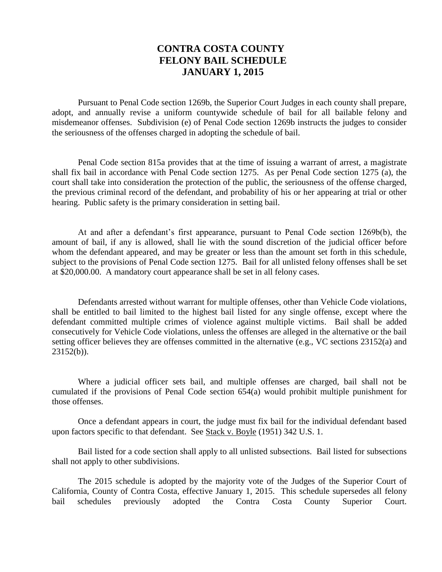# **CONTRA COSTA COUNTY FELONY BAIL SCHEDULE JANUARY 1, 2015**

Pursuant to Penal Code section 1269b, the Superior Court Judges in each county shall prepare, adopt, and annually revise a uniform countywide schedule of bail for all bailable felony and misdemeanor offenses. Subdivision (e) of Penal Code section 1269b instructs the judges to consider the seriousness of the offenses charged in adopting the schedule of bail.

Penal Code section 815a provides that at the time of issuing a warrant of arrest, a magistrate shall fix bail in accordance with Penal Code section 1275. As per Penal Code section 1275 (a), the court shall take into consideration the protection of the public, the seriousness of the offense charged, the previous criminal record of the defendant, and probability of his or her appearing at trial or other hearing. Public safety is the primary consideration in setting bail.

At and after a defendant's first appearance, pursuant to Penal Code section 1269b(b), the amount of bail, if any is allowed, shall lie with the sound discretion of the judicial officer before whom the defendant appeared, and may be greater or less than the amount set forth in this schedule, subject to the provisions of Penal Code section 1275. Bail for all unlisted felony offenses shall be set at \$20,000.00. A mandatory court appearance shall be set in all felony cases.

Defendants arrested without warrant for multiple offenses, other than Vehicle Code violations, shall be entitled to bail limited to the highest bail listed for any single offense, except where the defendant committed multiple crimes of violence against multiple victims. Bail shall be added consecutively for Vehicle Code violations, unless the offenses are alleged in the alternative or the bail setting officer believes they are offenses committed in the alternative (e.g., VC sections 23152(a) and 23152(b)).

Where a judicial officer sets bail, and multiple offenses are charged, bail shall not be cumulated if the provisions of Penal Code section 654(a) would prohibit multiple punishment for those offenses.

Once a defendant appears in court, the judge must fix bail for the individual defendant based upon factors specific to that defendant. See Stack v. Boyle (1951) 342 U.S. 1.

Bail listed for a code section shall apply to all unlisted subsections. Bail listed for subsections shall not apply to other subdivisions.

The 2015 schedule is adopted by the majority vote of the Judges of the Superior Court of California, County of Contra Costa, effective January 1, 2015. This schedule supersedes all felony bail schedules previously adopted the Contra Costa County Superior Court.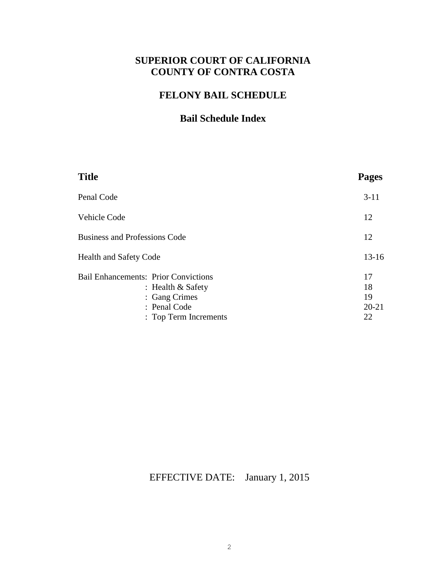# **SUPERIOR COURT OF CALIFORNIA COUNTY OF CONTRA COSTA**

# **FELONY BAIL SCHEDULE**

# **Bail Schedule Index**

| <b>Title</b>                                                                                        | <b>Pages</b>                      |
|-----------------------------------------------------------------------------------------------------|-----------------------------------|
| Penal Code                                                                                          | $3-11$                            |
| Vehicle Code                                                                                        | 12                                |
| <b>Business and Professions Code</b>                                                                | 12                                |
| <b>Health and Safety Code</b>                                                                       | $13 - 16$                         |
| <b>Bail Enhancements: Prior Convictions</b><br>: Health $&$ Safety<br>: Gang Crimes<br>: Penal Code | 17<br>18<br>19<br>$20 - 21$<br>22 |
| : Top Term Increments                                                                               |                                   |

EFFECTIVE DATE: January 1, 2015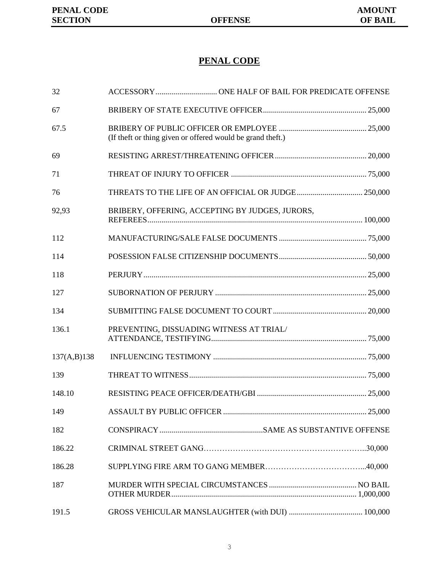# **PENAL CODE**

| 32          |                                                            |  |
|-------------|------------------------------------------------------------|--|
| 67          |                                                            |  |
| 67.5        | (If theft or thing given or offered would be grand theft.) |  |
| 69          |                                                            |  |
| 71          |                                                            |  |
| 76          |                                                            |  |
| 92,93       | BRIBERY, OFFERING, ACCEPTING BY JUDGES, JURORS,            |  |
| 112         |                                                            |  |
| 114         |                                                            |  |
| 118         |                                                            |  |
| 127         |                                                            |  |
| 134         |                                                            |  |
| 136.1       | PREVENTING, DISSUADING WITNESS AT TRIAL/                   |  |
| 137(A,B)138 |                                                            |  |
| 139         |                                                            |  |
| 148.10      |                                                            |  |
| 149         |                                                            |  |
| 182         |                                                            |  |
| 186.22      |                                                            |  |
| 186.28      |                                                            |  |
| 187         |                                                            |  |
| 191.5       |                                                            |  |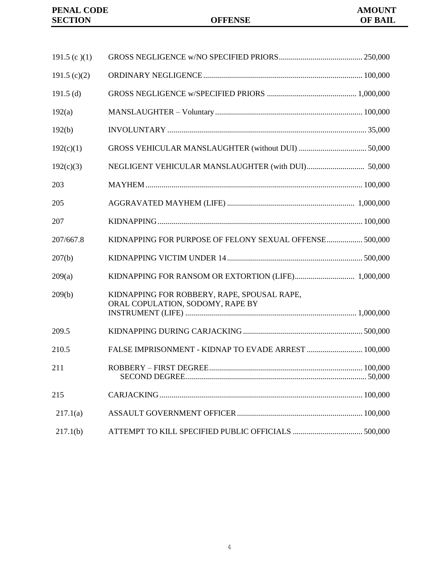| 191.5 (c)(1)   |                                                                                 |  |
|----------------|---------------------------------------------------------------------------------|--|
| 191.5 $(c)(2)$ |                                                                                 |  |
| 191.5 $(d)$    |                                                                                 |  |
| 192(a)         |                                                                                 |  |
| 192(b)         |                                                                                 |  |
| 192(c)(1)      |                                                                                 |  |
| 192(c)(3)      |                                                                                 |  |
| 203            |                                                                                 |  |
| 205            |                                                                                 |  |
| 207            |                                                                                 |  |
| 207/667.8      | KIDNAPPING FOR PURPOSE OF FELONY SEXUAL OFFENSE 500,000                         |  |
| 207(b)         |                                                                                 |  |
| 209(a)         |                                                                                 |  |
| 209(b)         | KIDNAPPING FOR ROBBERY, RAPE, SPOUSAL RAPE,<br>ORAL COPULATION, SODOMY, RAPE BY |  |
| 209.5          |                                                                                 |  |
| 210.5          | FALSE IMPRISONMENT - KIDNAP TO EVADE ARREST  100,000                            |  |
| 211            |                                                                                 |  |
| 215            |                                                                                 |  |
| 217.1(a)       |                                                                                 |  |
| 217.1(b)       |                                                                                 |  |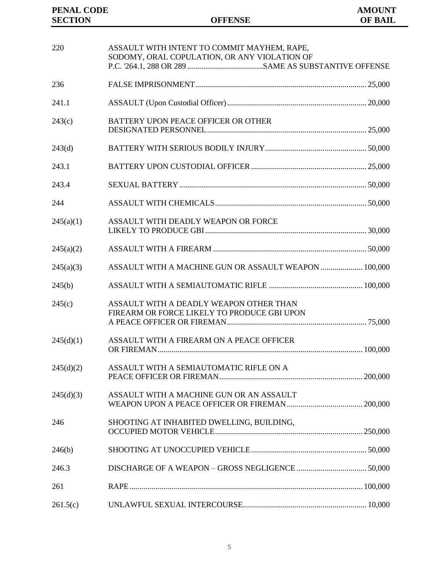| 220       | ASSAULT WITH INTENT TO COMMIT MAYHEM, RAPE,<br>SODOMY, ORAL COPULATION, OR ANY VIOLATION OF                                  |  |
|-----------|------------------------------------------------------------------------------------------------------------------------------|--|
| 236       |                                                                                                                              |  |
| 241.1     |                                                                                                                              |  |
| 243(c)    | BATTERY UPON PEACE OFFICER OR OTHER                                                                                          |  |
| 243(d)    |                                                                                                                              |  |
| 243.1     |                                                                                                                              |  |
| 243.4     |                                                                                                                              |  |
| 244       |                                                                                                                              |  |
| 245(a)(1) | ASSAULT WITH DEADLY WEAPON OR FORCE                                                                                          |  |
| 245(a)(2) |                                                                                                                              |  |
| 245(a)(3) | ASSAULT WITH A MACHINE GUN OR ASSAULT WEAPON  100,000                                                                        |  |
| 245(b)    |                                                                                                                              |  |
| 245(c)    | ASSAULT WITH A DEADLY WEAPON OTHER THAN<br>FIREARM OR FORCE LIKELY TO PRODUCE GBI UPON                                       |  |
| 245(d)(1) | ASSAULT WITH A FIREARM ON A PEACE OFFICER                                                                                    |  |
| 245(d)(2) | ASSAULT WITH A SEMIAUTOMATIC RIFLE ON A                                                                                      |  |
| 245(d)(3) | ASSAULT WITH A MACHINE GUN OR AN ASSAULT                                                                                     |  |
| 246       | SHOOTING AT INHABITED DWELLING, BUILDING,                                                                                    |  |
| 246(b)    |                                                                                                                              |  |
| 246.3     |                                                                                                                              |  |
| 261       |                                                                                                                              |  |
| 261.5(c)  | $\textbf{UNLAWFUL} \textbf{SEXUAL} \textbf{INTERCOURSE} \textcolor{red}{.} \textcolor{red}{\textbf{10,000}} \textbf{10,000}$ |  |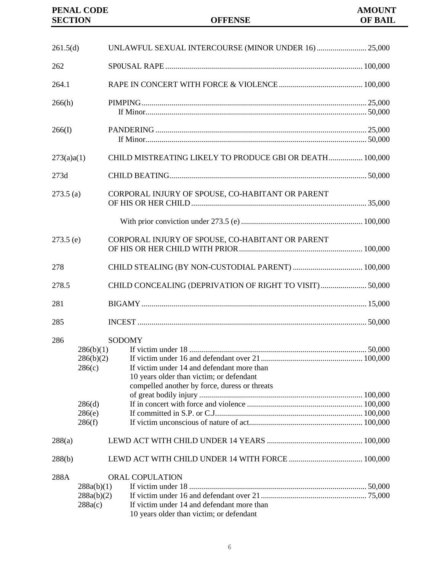### **PENAL CODE AMOUNT SECTION OFFENSE OF BAIL**

| 261.5(d)    |                                                                | UNLAWFUL SEXUAL INTERCOURSE (MINOR UNDER 16)  25,000                                                                                                     |  |
|-------------|----------------------------------------------------------------|----------------------------------------------------------------------------------------------------------------------------------------------------------|--|
| 262         |                                                                |                                                                                                                                                          |  |
| 264.1       |                                                                |                                                                                                                                                          |  |
| 266(h)      |                                                                |                                                                                                                                                          |  |
| 266(I)      |                                                                |                                                                                                                                                          |  |
| 273(a)a(1)  |                                                                | CHILD MISTREATING LIKELY TO PRODUCE GBI OR DEATH 100,000                                                                                                 |  |
| 273d        |                                                                |                                                                                                                                                          |  |
| 273.5(a)    |                                                                | CORPORAL INJURY OF SPOUSE, CO-HABITANT OR PARENT                                                                                                         |  |
|             |                                                                |                                                                                                                                                          |  |
| $273.5$ (e) |                                                                | CORPORAL INJURY OF SPOUSE, CO-HABITANT OR PARENT                                                                                                         |  |
| 278         |                                                                |                                                                                                                                                          |  |
| 278.5       |                                                                | CHILD CONCEALING (DEPRIVATION OF RIGHT TO VISIT) 50,000                                                                                                  |  |
| 281         |                                                                |                                                                                                                                                          |  |
| 285         |                                                                |                                                                                                                                                          |  |
| 286         | 286(b)(1)<br>286(b)(2)<br>286(c)<br>286(d)<br>286(e)<br>286(f) | <b>SODOMY</b><br>If victim under 14 and defendant more than<br>10 years older than victim; or defendant<br>compelled another by force, duress or threats |  |
| 288(a)      |                                                                |                                                                                                                                                          |  |
| 288(b)      |                                                                |                                                                                                                                                          |  |
| 288A        | 288a(b)(1)<br>288a(b)(2)<br>288a(c)                            | <b>ORAL COPULATION</b><br>If victim under 14 and defendant more than<br>10 years older than victim; or defendant                                         |  |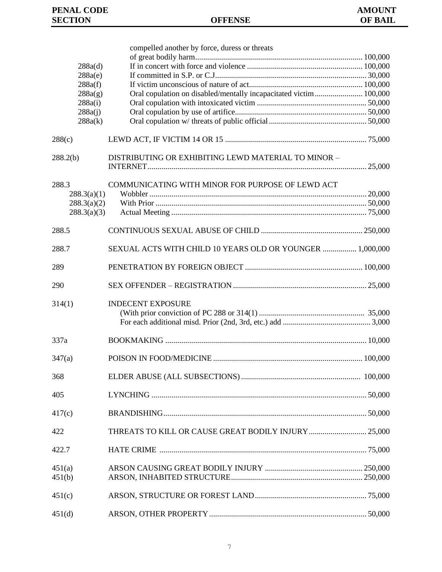|                            | compelled another by force, duress or threats                      |  |
|----------------------------|--------------------------------------------------------------------|--|
|                            |                                                                    |  |
| 288a(d)                    |                                                                    |  |
| 288a(e)                    |                                                                    |  |
| 288a(f)                    |                                                                    |  |
| 288a(g)                    | Oral copulation on disabled/mentally incapacitated victim  100,000 |  |
| 288a(i)<br>288a(i)         |                                                                    |  |
| 288a(k)                    |                                                                    |  |
|                            |                                                                    |  |
| 288(c)                     |                                                                    |  |
| 288.2(b)                   | DISTRIBUTING OR EXHIBITING LEWD MATERIAL TO MINOR -                |  |
|                            |                                                                    |  |
| 288.3                      | COMMUNICATING WITH MINOR FOR PURPOSE OF LEWD ACT                   |  |
| 288.3(a)(1)                |                                                                    |  |
| 288.3(a)(2)<br>288.3(a)(3) |                                                                    |  |
|                            |                                                                    |  |
| 288.5                      |                                                                    |  |
| 288.7                      | SEXUAL ACTS WITH CHILD 10 YEARS OLD OR YOUNGER  1,000,000          |  |
| 289                        |                                                                    |  |
| 290                        |                                                                    |  |
| 314(1)                     | <b>INDECENT EXPOSURE</b>                                           |  |
| 337a                       |                                                                    |  |
| 347(a)                     |                                                                    |  |
| 368                        |                                                                    |  |
| 405                        |                                                                    |  |
| 417(c)                     |                                                                    |  |
| 422                        | THREATS TO KILL OR CAUSE GREAT BODILY INJURY  25,000               |  |
| 422.7                      |                                                                    |  |
| 451(a)                     |                                                                    |  |
| 451(b)                     |                                                                    |  |
|                            |                                                                    |  |
| 451(c)                     |                                                                    |  |
| 451(d)                     |                                                                    |  |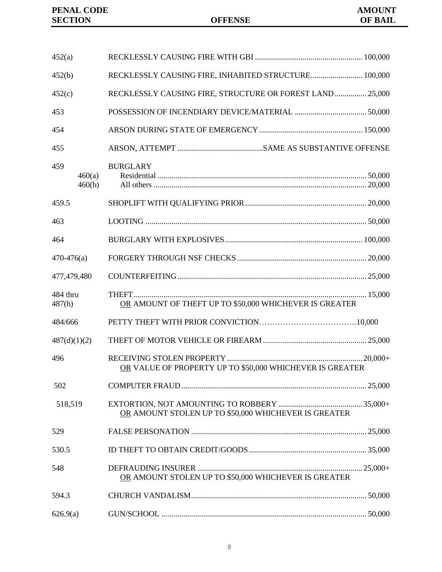| <b>PENAL CODE</b> |  |
|-------------------|--|
| <b>SECTION</b>    |  |

| 452(a)             |                  |                                                           |  |
|--------------------|------------------|-----------------------------------------------------------|--|
| 452(b)             |                  | RECKLESSLY CAUSING FIRE, INHABITED STRUCTURE 100,000      |  |
| 452(c)             |                  | RECKLESSLY CAUSING FIRE, STRUCTURE OR FOREST LAND  25,000 |  |
| 453                |                  |                                                           |  |
| 454                |                  |                                                           |  |
| 455                |                  |                                                           |  |
| 459                | 460(a)<br>460(b) | <b>BURGLARY</b>                                           |  |
| 459.5              |                  |                                                           |  |
| 463                |                  |                                                           |  |
| 464                |                  |                                                           |  |
| $470-476(a)$       |                  |                                                           |  |
| 477,479,480        |                  |                                                           |  |
| 484 thru<br>487(h) |                  | OR AMOUNT OF THEFT UP TO \$50,000 WHICHEVER IS GREATER    |  |
| 484/666            |                  |                                                           |  |
| 487(d)(1)(2)       |                  |                                                           |  |
| 496                |                  | OR VALUE OF PROPERTY UP TO \$50,000 WHICHEVER IS GREATER  |  |
| 502                |                  |                                                           |  |
| 518,519            |                  | OR AMOUNT STOLEN UP TO \$50,000 WHICHEVER IS GREATER      |  |
| 529                |                  |                                                           |  |
| 530.5              |                  |                                                           |  |
| 548                |                  | OR AMOUNT STOLEN UP TO \$50,000 WHICHEVER IS GREATER      |  |
| 594.3              |                  |                                                           |  |
| 626.9(a)           |                  |                                                           |  |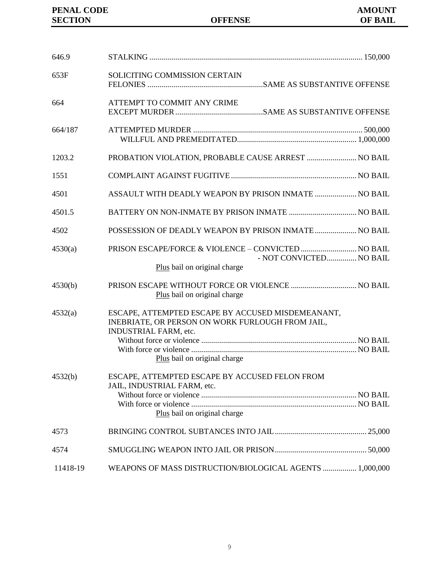| 646.9    |                                                                                                                                |  |
|----------|--------------------------------------------------------------------------------------------------------------------------------|--|
| 653F     | SOLICITING COMMISSION CERTAIN                                                                                                  |  |
| 664      | ATTEMPT TO COMMIT ANY CRIME                                                                                                    |  |
| 664/187  |                                                                                                                                |  |
| 1203.2   | PROBATION VIOLATION, PROBABLE CAUSE ARREST  NO BAIL                                                                            |  |
| 1551     |                                                                                                                                |  |
| 4501     | ASSAULT WITH DEADLY WEAPON BY PRISON INMATE  NO BAIL                                                                           |  |
| 4501.5   |                                                                                                                                |  |
| 4502     | POSSESSION OF DEADLY WEAPON BY PRISON INMATE  NO BAIL                                                                          |  |
| 4530(a)  | PRISON ESCAPE/FORCE & VIOLENCE - CONVICTED  NO BAIL<br>- NOT CONVICTED NO BAIL                                                 |  |
|          | Plus bail on original charge                                                                                                   |  |
| 4530(b)  | Plus bail on original charge                                                                                                   |  |
| 4532(a)  | ESCAPE, ATTEMPTED ESCAPE BY ACCUSED MISDEMEANANT,<br>INEBRIATE, OR PERSON ON WORK FURLOUGH FROM JAIL,<br>INDUSTRIAL FARM, etc. |  |
|          |                                                                                                                                |  |
| 4532(b)  | Plus bail on original charge<br>ESCAPE, ATTEMPTED ESCAPE BY ACCUSED FELON FROM<br>JAIL, INDUSTRIAL FARM, etc.                  |  |
|          | Plus bail on original charge                                                                                                   |  |
| 4573     |                                                                                                                                |  |
| 4574     |                                                                                                                                |  |
| 11418-19 | WEAPONS OF MASS DISTRUCTION/BIOLOGICAL AGENTS  1,000,000                                                                       |  |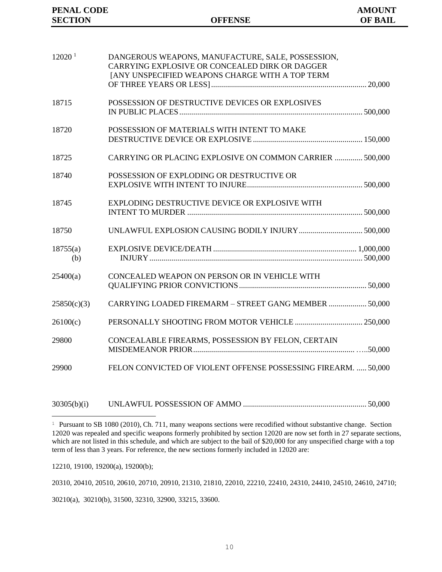| 12020 <sup>1</sup> | DANGEROUS WEAPONS, MANUFACTURE, SALE, POSSESSION,<br>CARRYING EXPLOSIVE OR CONCEALED DIRK OR DAGGER<br>JANY UNSPECIFIED WEAPONS CHARGE WITH A TOP TERM |  |
|--------------------|--------------------------------------------------------------------------------------------------------------------------------------------------------|--|
| 18715              | POSSESSION OF DESTRUCTIVE DEVICES OR EXPLOSIVES                                                                                                        |  |
| 18720              | POSSESSION OF MATERIALS WITH INTENT TO MAKE                                                                                                            |  |
| 18725              | CARRYING OR PLACING EXPLOSIVE ON COMMON CARRIER  500,000                                                                                               |  |
| 18740              | POSSESSION OF EXPLODING OR DESTRUCTIVE OR                                                                                                              |  |
| 18745              | EXPLODING DESTRUCTIVE DEVICE OR EXPLOSIVE WITH                                                                                                         |  |
| 18750              |                                                                                                                                                        |  |
| 18755(a)<br>(b)    |                                                                                                                                                        |  |
| 25400(a)           | CONCEALED WEAPON ON PERSON OR IN VEHICLE WITH                                                                                                          |  |
| 25850(c)(3)        | CARRYING LOADED FIREMARM - STREET GANG MEMBER  50,000                                                                                                  |  |
| 26100(c)           |                                                                                                                                                        |  |
| 29800              | CONCEALABLE FIREARMS, POSSESSION BY FELON, CERTAIN                                                                                                     |  |
| 29900              | FELON CONVICTED OF VIOLENT OFFENSE POSSESSING FIREARM.  50,000                                                                                         |  |
|                    |                                                                                                                                                        |  |

30305(b)(i) UNLAWFUL POSSESSION OF AMMO .............................................................. 50,000

12210, 19100, 19200(a), 19200(b);

÷,

20310, 20410, 20510, 20610, 20710, 20910, 21310, 21810, 22010, 22210, 22410, 24310, 24410, 24510, 24610, 24710;

30210(a), 30210(b), 31500, 32310, 32900, 33215, 33600.

<sup>1</sup> Pursuant to SB 1080 (2010), Ch. 711, many weapons sections were recodified without substantive change. Section 12020 was repealed and specific weapons formerly prohibited by section 12020 are now set forth in 27 separate sections, which are not listed in this schedule, and which are subject to the bail of \$20,000 for any unspecified charge with a top term of less than 3 years. For reference, the new sections formerly included in 12020 are: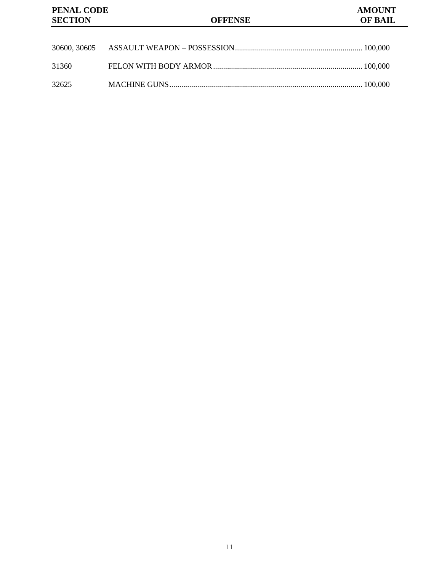| 31360 |  |
|-------|--|
| 32625 |  |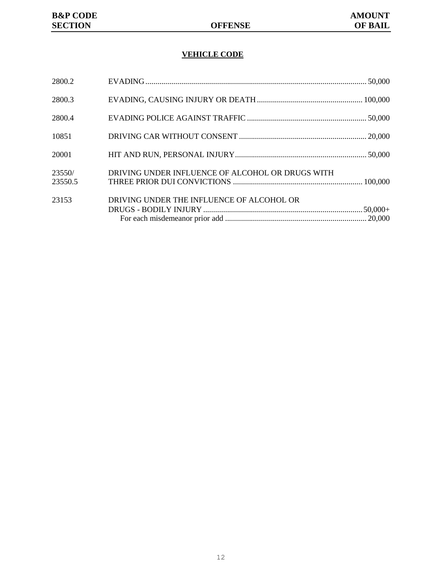### **VEHICLE CODE**

| 2800.2            |                                                  |  |
|-------------------|--------------------------------------------------|--|
| 2800.3            |                                                  |  |
| 2800.4            |                                                  |  |
| 10851             |                                                  |  |
| 20001             |                                                  |  |
| 23550/<br>23550.5 | DRIVING UNDER INFLUENCE OF ALCOHOL OR DRUGS WITH |  |
| 23153             | DRIVING UNDER THE INFLUENCE OF ALCOHOL OR        |  |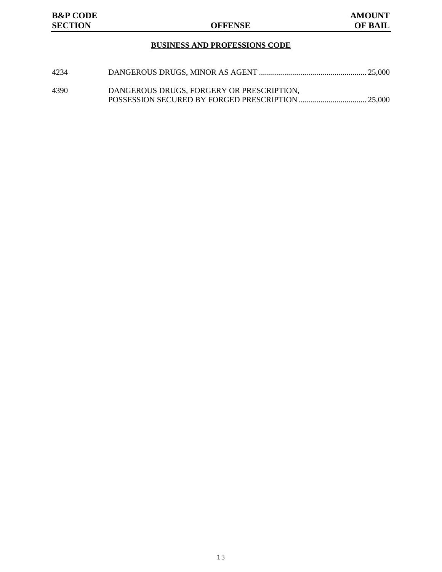### **BUSINESS AND PROFESSIONS CODE**

| 4234 |                                           |  |
|------|-------------------------------------------|--|
|      |                                           |  |
| 4390 | DANGEROUS DRUGS, FORGERY OR PRESCRIPTION, |  |
|      |                                           |  |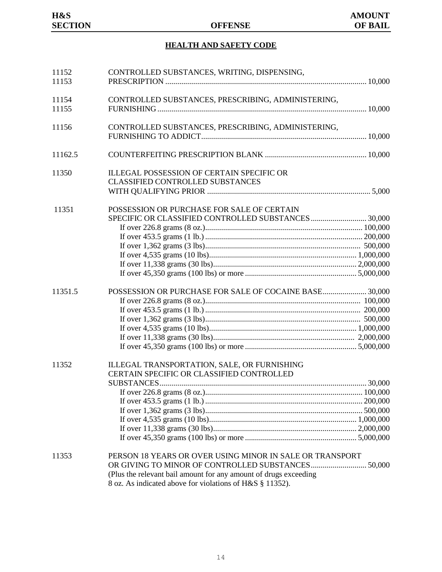## **HEALTH AND SAFETY CODE**

| 11152<br>11153 | CONTROLLED SUBSTANCES, WRITING, DISPENSING,                                                                                                                                                                                                    |  |
|----------------|------------------------------------------------------------------------------------------------------------------------------------------------------------------------------------------------------------------------------------------------|--|
| 11154<br>11155 | CONTROLLED SUBSTANCES, PRESCRIBING, ADMINISTERING,                                                                                                                                                                                             |  |
| 11156          | CONTROLLED SUBSTANCES, PRESCRIBING, ADMINISTERING,                                                                                                                                                                                             |  |
| 11162.5        |                                                                                                                                                                                                                                                |  |
| 11350          | <b>ILLEGAL POSSESSION OF CERTAIN SPECIFIC OR</b><br><b>CLASSIFIED CONTROLLED SUBSTANCES</b>                                                                                                                                                    |  |
| 11351          | POSSESSION OR PURCHASE FOR SALE OF CERTAIN<br>SPECIFIC OR CLASSIFIED CONTROLLED SUBSTANCES  30,000                                                                                                                                             |  |
| 11351.5        | POSSESSION OR PURCHASE FOR SALE OF COCAINE BASE 30,000                                                                                                                                                                                         |  |
| 11352          | ILLEGAL TRANSPORTATION, SALE, OR FURNISHING<br>CERTAIN SPECIFIC OR CLASSIFIED CONTROLLED                                                                                                                                                       |  |
| 11353          | PERSON 18 YEARS OR OVER USING MINOR IN SALE OR TRANSPORT<br>OR GIVING TO MINOR OF CONTROLLED SUBSTANCES 50,000<br>(Plus the relevant bail amount for any amount of drugs exceeding<br>8 oz. As indicated above for violations of H&S § 11352). |  |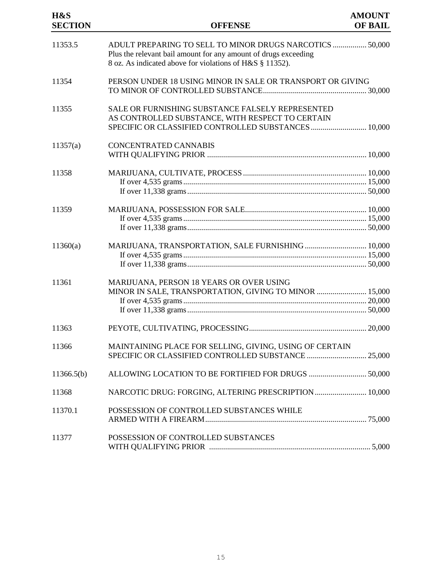| H&S<br><b>SECTION</b> | <b>OFFENSE</b>                                                                                                                                                                          | <b>AMOUNT</b><br><b>OF BAIL</b> |
|-----------------------|-----------------------------------------------------------------------------------------------------------------------------------------------------------------------------------------|---------------------------------|
| 11353.5               | ADULT PREPARING TO SELL TO MINOR DRUGS NARCOTICS  50,000<br>Plus the relevant bail amount for any amount of drugs exceeding<br>8 oz. As indicated above for violations of H&S § 11352). |                                 |
| 11354                 | PERSON UNDER 18 USING MINOR IN SALE OR TRANSPORT OR GIVING                                                                                                                              |                                 |
| 11355                 | SALE OR FURNISHING SUBSTANCE FALSELY REPRESENTED<br>AS CONTROLLED SUBSTANCE, WITH RESPECT TO CERTAIN<br>SPECIFIC OR CLASSIFIED CONTROLLED SUBSTANCES  10,000                            |                                 |
| 11357(a)              | <b>CONCENTRATED CANNABIS</b>                                                                                                                                                            |                                 |
| 11358                 |                                                                                                                                                                                         |                                 |
| 11359                 |                                                                                                                                                                                         |                                 |
| 11360(a)              | MARIJUANA, TRANSPORTATION, SALE FURNISHING  10,000                                                                                                                                      |                                 |
| 11361                 | MARIJUANA, PERSON 18 YEARS OR OVER USING<br>MINOR IN SALE, TRANSPORTATION, GIVING TO MINOR  15,000                                                                                      |                                 |
| 11363                 |                                                                                                                                                                                         |                                 |
| 11366                 | MAINTAINING PLACE FOR SELLING, GIVING, USING OF CERTAIN                                                                                                                                 |                                 |
| 11366.5(b)            | ALLOWING LOCATION TO BE FORTIFIED FOR DRUGS  50,000                                                                                                                                     |                                 |
| 11368                 | NARCOTIC DRUG: FORGING, ALTERING PRESCRIPTION 10,000                                                                                                                                    |                                 |
| 11370.1               | POSSESSION OF CONTROLLED SUBSTANCES WHILE                                                                                                                                               |                                 |
| 11377                 | POSSESSION OF CONTROLLED SUBSTANCES                                                                                                                                                     |                                 |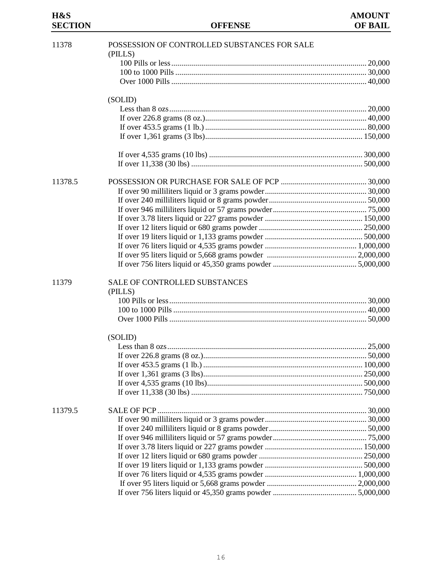# **SECTION**

| 11378   | POSSESSION OF CONTROLLED SUBSTANCES FOR SALE |  |
|---------|----------------------------------------------|--|
|         | (PILLS)                                      |  |
|         |                                              |  |
|         |                                              |  |
|         |                                              |  |
|         | (SOLID)                                      |  |
|         |                                              |  |
|         |                                              |  |
|         |                                              |  |
|         |                                              |  |
|         |                                              |  |
|         |                                              |  |
| 11378.5 |                                              |  |
|         |                                              |  |
|         |                                              |  |
|         |                                              |  |
|         |                                              |  |
|         |                                              |  |
|         |                                              |  |
|         |                                              |  |
|         |                                              |  |
|         |                                              |  |
| 11379   | SALE OF CONTROLLED SUBSTANCES                |  |
|         | (PILLS)                                      |  |
|         |                                              |  |
|         |                                              |  |
|         |                                              |  |
|         | (SOLID)                                      |  |
|         |                                              |  |
|         |                                              |  |
|         |                                              |  |
|         |                                              |  |
|         |                                              |  |
|         |                                              |  |
| 11379.5 |                                              |  |
|         |                                              |  |
|         |                                              |  |
|         |                                              |  |
|         |                                              |  |
|         |                                              |  |
|         |                                              |  |
|         |                                              |  |
|         |                                              |  |
|         |                                              |  |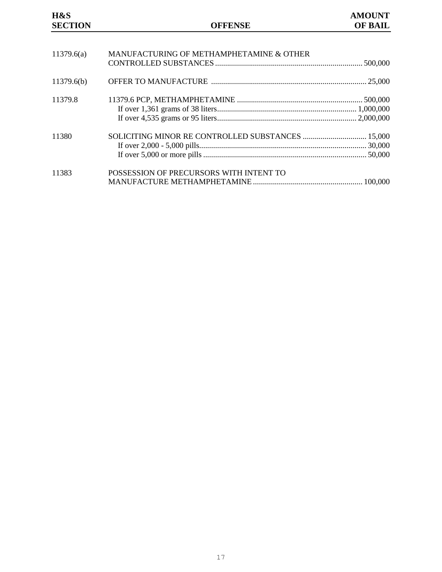# **H&S AMOUNT SECTION OFFENSE OF BAIL** 11379.6(a) MANUFACTURING OF METHAMPHETAMINE & OTHER CONTROLLED SUBSTANCES .......................................................................... 500,000 11379.6(b) OFFER TO MANUFACTURE .............................................................................. 25,000 11379.8 11379.6 PCP, METHAMPHETAMINE ............................................................... 500,000 If over 1,361 grams of 38 liters...................................................................... 1,000,000 If over 4,535 grams or 95 liters...................................................................... 2,000,000 11380 SOLICITING MINOR RE CONTROLLED SUBSTANCES ................................ 15,000 If over 2,000 - 5,000 pills.................................................................................... 30,000 If over 5,000 or more pills.................................................................................. 50,000 11383 POSSESSION OF PRECURSORS WITH INTENT TO MANUFACTURE METHAMPHETAMINE ....................................................... 100,000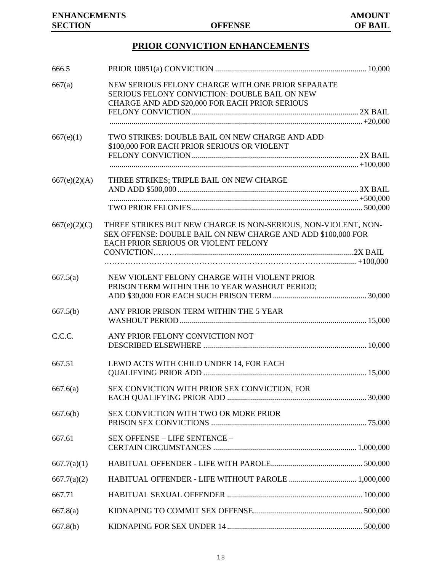# **PRIOR CONVICTION ENHANCEMENTS**

| 666.5        |                                                                                                                                                                        |  |
|--------------|------------------------------------------------------------------------------------------------------------------------------------------------------------------------|--|
| 667(a)       | NEW SERIOUS FELONY CHARGE WITH ONE PRIOR SEPARATE<br>SERIOUS FELONY CONVICTION: DOUBLE BAIL ON NEW<br>CHARGE AND ADD \$20,000 FOR EACH PRIOR SERIOUS                   |  |
|              |                                                                                                                                                                        |  |
|              |                                                                                                                                                                        |  |
| 667(e)(1)    | TWO STRIKES: DOUBLE BAIL ON NEW CHARGE AND ADD                                                                                                                         |  |
|              | \$100,000 FOR EACH PRIOR SERIOUS OR VIOLENT                                                                                                                            |  |
|              |                                                                                                                                                                        |  |
|              |                                                                                                                                                                        |  |
| 667(e)(2)(A) | THREE STRIKES; TRIPLE BAIL ON NEW CHARGE                                                                                                                               |  |
|              |                                                                                                                                                                        |  |
|              |                                                                                                                                                                        |  |
| 667(e)(2)(C) | THREE STRIKES BUT NEW CHARGE IS NON-SERIOUS, NON-VIOLENT, NON-<br>SEX OFFENSE: DOUBLE BAIL ON NEW CHARGE AND ADD \$100,000 FOR<br>EACH PRIOR SERIOUS OR VIOLENT FELONY |  |
|              |                                                                                                                                                                        |  |
|              |                                                                                                                                                                        |  |
| 667.5(a)     | NEW VIOLENT FELONY CHARGE WITH VIOLENT PRIOR                                                                                                                           |  |
|              | PRISON TERM WITHIN THE 10 YEAR WASHOUT PERIOD;                                                                                                                         |  |
|              |                                                                                                                                                                        |  |
| 667.5(b)     | ANY PRIOR PRISON TERM WITHIN THE 5 YEAR                                                                                                                                |  |
|              |                                                                                                                                                                        |  |
| C.C.C.       | ANY PRIOR FELONY CONVICTION NOT                                                                                                                                        |  |
|              |                                                                                                                                                                        |  |
| 667.51       |                                                                                                                                                                        |  |
|              | LEWD ACTS WITH CHILD UNDER 14, FOR EACH                                                                                                                                |  |
|              |                                                                                                                                                                        |  |
| 667.6(a)     | SEX CONVICTION WITH PRIOR SEX CONVICTION, FOR                                                                                                                          |  |
|              |                                                                                                                                                                        |  |
| 667.6(b)     | SEX CONVICTION WITH TWO OR MORE PRIOR                                                                                                                                  |  |
|              |                                                                                                                                                                        |  |
| 667.61       | SEX OFFENSE - LIFE SENTENCE -                                                                                                                                          |  |
|              |                                                                                                                                                                        |  |
| 667.7(a)(1)  |                                                                                                                                                                        |  |
| 667.7(a)(2)  |                                                                                                                                                                        |  |
| 667.71       |                                                                                                                                                                        |  |
| 667.8(a)     |                                                                                                                                                                        |  |
| 667.8(b)     |                                                                                                                                                                        |  |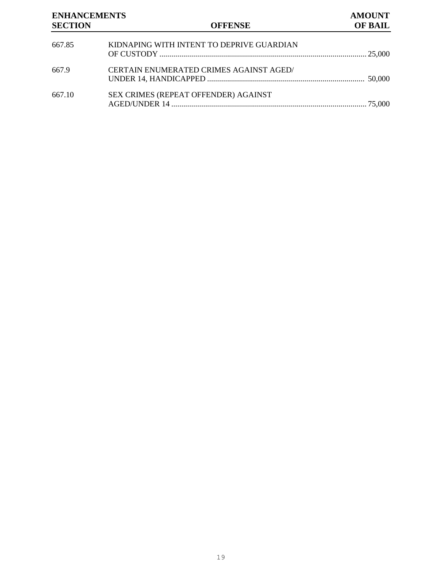# **ENHANCEMENTS AMOUNT SECTION OFFENSE OF BAIL** 667.85 KIDNAPING WITH INTENT TO DEPRIVE GUARDIAN OF CUSTODY ........................................................................................................ 25,000 667.9 CERTAIN ENUMERATED CRIMES AGAINST AGED/ UNDER 14, HANDICAPPED ............................................................................... 50,000 667.10 SEX CRIMES (REPEAT OFFENDER) AGAINST AGED/UNDER 14 .................................................................................................. 75,000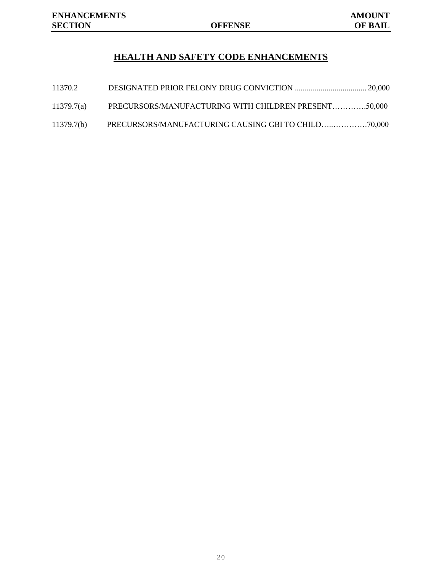## **HEALTH AND SAFETY CODE ENHANCEMENTS**

| 11370.2    |                                                      |  |
|------------|------------------------------------------------------|--|
| 11379.7(a) | PRECURSORS/MANUFACTURING WITH CHILDREN PRESENT50,000 |  |
| 11379.7(b) |                                                      |  |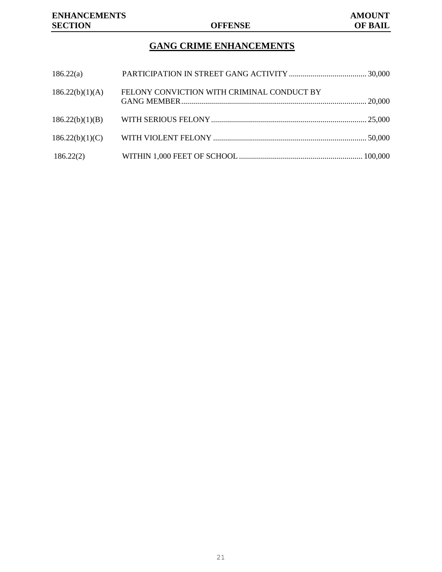# **GANG CRIME ENHANCEMENTS**

| 186.22(a)       |                                            |  |
|-----------------|--------------------------------------------|--|
| 186.22(b)(1)(A) | FELONY CONVICTION WITH CRIMINAL CONDUCT BY |  |
| 186.22(b)(1)(B) |                                            |  |
| 186.22(b)(1)(C) |                                            |  |
| 186.22(2)       |                                            |  |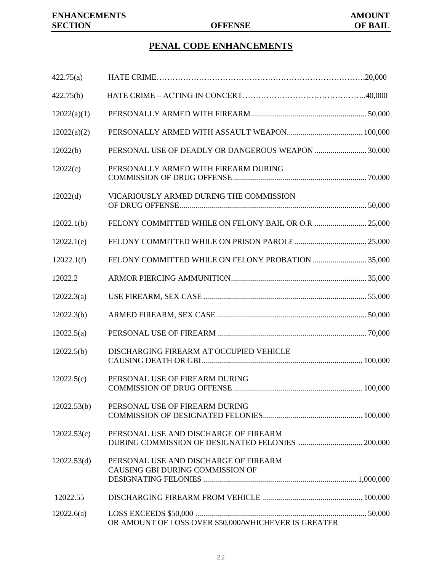## **PENAL CODE ENHANCEMENTS**

| 422.75(a)   |                                                                           |  |
|-------------|---------------------------------------------------------------------------|--|
| 422.75(b)   |                                                                           |  |
| 12022(a)(1) |                                                                           |  |
| 12022(a)(2) |                                                                           |  |
| 12022(b)    | PERSONAL USE OF DEADLY OR DANGEROUS WEAPON  30,000                        |  |
| 12022(c)    | PERSONALLY ARMED WITH FIREARM DURING                                      |  |
| 12022(d)    | VICARIOUSLY ARMED DURING THE COMMISSION                                   |  |
| 12022.1(b)  | FELONY COMMITTED WHILE ON FELONY BAIL OR O.R  25,000                      |  |
| 12022.1(e)  |                                                                           |  |
| 12022.1(f)  |                                                                           |  |
| 12022.2     |                                                                           |  |
| 12022.3(a)  |                                                                           |  |
| 12022.3(b)  |                                                                           |  |
| 12022.5(a)  |                                                                           |  |
| 12022.5(b)  | DISCHARGING FIREARM AT OCCUPIED VEHICLE                                   |  |
| 12022.5(c)  | PERSONAL USE OF FIREARM DURING                                            |  |
| 12022.53(b) | PERSONAL USE OF FIREARM DURING                                            |  |
| 12022.53(c) | PERSONAL USE AND DISCHARGE OF FIREARM                                     |  |
| 12022.53(d) | PERSONAL USE AND DISCHARGE OF FIREARM<br>CAUSING GBI DURING COMMISSION OF |  |
| 12022.55    |                                                                           |  |
| 12022.6(a)  | OR AMOUNT OF LOSS OVER \$50,000/WHICHEVER IS GREATER                      |  |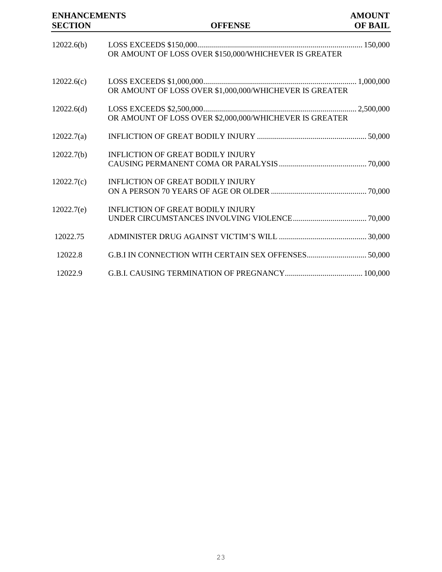# **ENHANCEMENTS AMOUNT SECTION OF BAIL** 12022.6(b) LOSS EXCEEDS \$150,000................................................................................... 150,000 OR AMOUNT OF LOSS OVER \$150,000/WHICHEVER IS GREATER 12022.6(c) LOSS EXCEEDS \$1,000,000............................................................................. 1,000,000 OR AMOUNT OF LOSS OVER \$1,000,000/WHICHEVER IS GREATER 12022.6(d) LOSS EXCEEDS \$2,500,000............................................................................. 2,500,000 OR AMOUNT OF LOSS OVER \$2,000,000/WHICHEVER IS GREATER 12022.7(a) INFLICTION OF GREAT BODILY INJURY ....................................................... 50,000 12022.7(b) INFLICTION OF GREAT BODILY INJURY CAUSING PERMANENT COMA OR PARALYSIS............................................ 70,000 12022.7(c) INFLICTION OF GREAT BODILY INJURY ON A PERSON 70 YEARS OF AGE OR OLDER................................................ 70,000 12022.7(e) INFLICTION OF GREAT BODILY INJURY UNDER CIRCUMSTANCES INVOLVING VIOLENCE..................................... 70,000 12022.75 ADMINISTER DRUG AGAINST VICTIM'S WILL ............................................ 30,000 12022.8 G.B.I IN CONNECTION WITH CERTAIN SEX OFFENSES.............................. 50,000 12022.9 G.B.I. CAUSING TERMINATION OF PREGNANCY....................................... 100,000